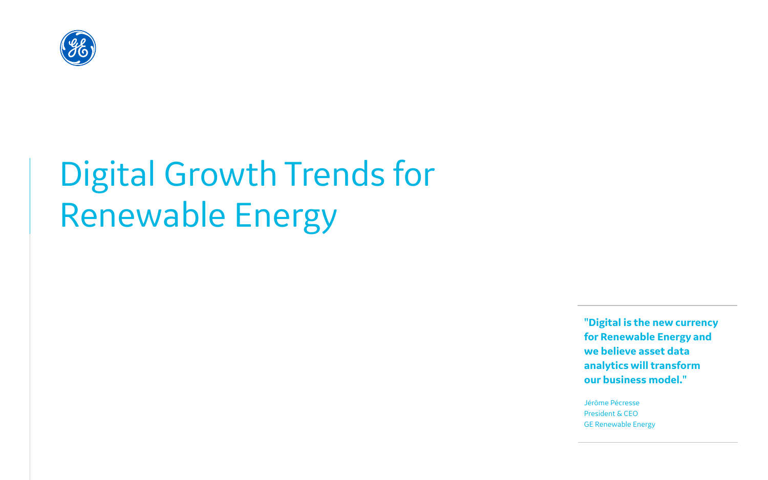

# Digital Growth Trends for Renewable Energy

**"Digital is the new currency for Renewable Energy and we believe asset data analytics will transform our business model."** 

Jérôme Pécresse President & CEO GE Renewable Energy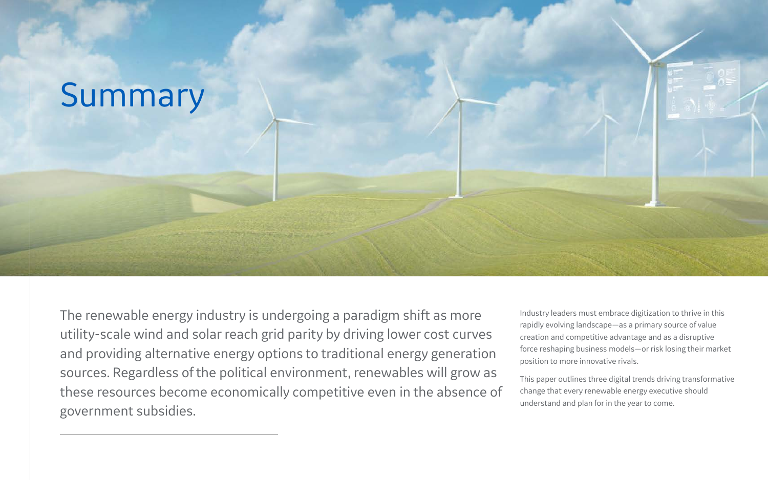# Summary

The renewable energy industry is undergoing a paradigm shift as more utility-scale wind and solar reach grid parity by driving lower cost curves and providing alternative energy options to traditional energy generation sources. Regardless of the political environment, renewables will grow as these resources become economically competitive even in the absence of government subsidies.



Industry leaders must embrace digitization to thrive in this rapidly evolving landscape—as a primary source of value creation and competitive advantage and as a disruptive force reshaping business models—or risk losing their market position to more innovative rivals.

This paper outlines three digital trends driving transformative change that every renewable energy executive should understand and plan for in the year to come.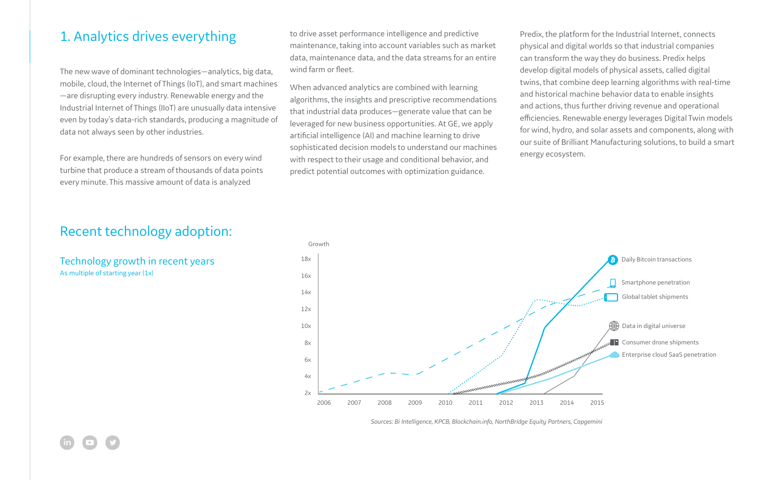# 1. Analytics drives everything

The new wave of dominant technologies—analytics, big data, mobile, cloud, the Internet of Things (IoT), and smart machines —are disrupting every industry. Renewable energy and the Industrial Internet of Things (IIoT) are unusually data intensive even by today's data-rich standards, producing a magnitude of data not always seen by other industries.

For example, there are hundreds of sensors on every wind turbine that produce a stream of thousands of data points every minute. This massive amount of data is analyzed

to drive asset performance intelligence and predictive maintenance, taking into account variables such as market data, maintenance data, and the data streams for an entire wind farm or fleet.

Technology growth in recent years As multiple of starting year (1x)

When advanced analytics are combined with learning algorithms, the insights and prescriptive recommendations that industrial data produces—generate value that can be leveraged for new business opportunities. At GE, we apply artificial intelligence (AI) and machine learning to drive sophisticated decision models to understand our machines with respect to their usage and conditional behavior, and predict potential outcomes with optimization guidance.



Predix, the platform for the Industrial Internet, connects physical and digital worlds so that industrial companies can transform the way they do business. Predix helps develop digital models of physical assets, called digital twins, that combine deep learning algorithms with real-time and historical machine behavior data to enable insights and actions, thus further driving revenue and operational efficiencies. Renewable energy leverages Digital Twin models for wind, hydro, and solar assets and components, along with our suite of Brilliant Manufacturing solutions, to build a smart energy ecosystem.

Recent technology adoption:



*Sources: Bi Intelligence, KPCB, Blockchain.info, NorthBridge Equity Partners, Capgemini*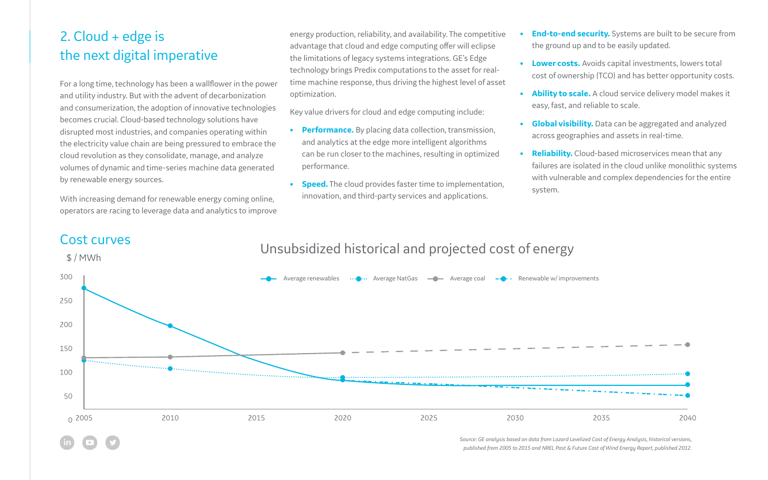# 2. Cloud + edge is the next digital imperative

For a long time, technology has been a wallflower in the power and utility industry. But with the advent of decarbonization and consumerization, the adoption of innovative technologies becomes crucial. Cloud-based technology solutions have disrupted most industries, and companies operating within the electricity value chain are being pressured to embrace the cloud revolution as they consolidate, manage, and analyze volumes of dynamic and time-series machine data generated by renewable energy sources.

With increasing demand for renewable energy coming online, operators are racing to leverage data and analytics to improve energy production, reliability, and availability. The competitive advantage that cloud and edge computing offer will eclipse the limitations of legacy systems integrations. GE's Edge technology brings Predix computations to the asset for realtime machine response, thus driving the highest level of asset optimization.

Key value drivers for cloud and edge computing include:

- **• Performance.** By placing data collection, transmission, and analytics at the edge more intelligent algorithms can be run closer to the machines, resulting in optimized performance.
- **• Speed.** The cloud provides faster time to implementation, innovation, and third-party services and applications.

- 
- 

**• End-to-end security.** Systems are built to be secure from the ground up and to be easily updated.

**• Lower costs.** Avoids capital investments, lowers total cost of ownership (TCO) and has better opportunity costs.

**• Ability to scale.** A cloud service delivery model makes it easy, fast, and reliable to scale.

**• Global visibility.** Data can be aggregated and analyzed across geographies and assets in real-time.

**• Reliability.** Cloud-based microservices mean that any failures are isolated in the cloud unlike monolithic systems with vulnerable and complex dependencies for the entire system.

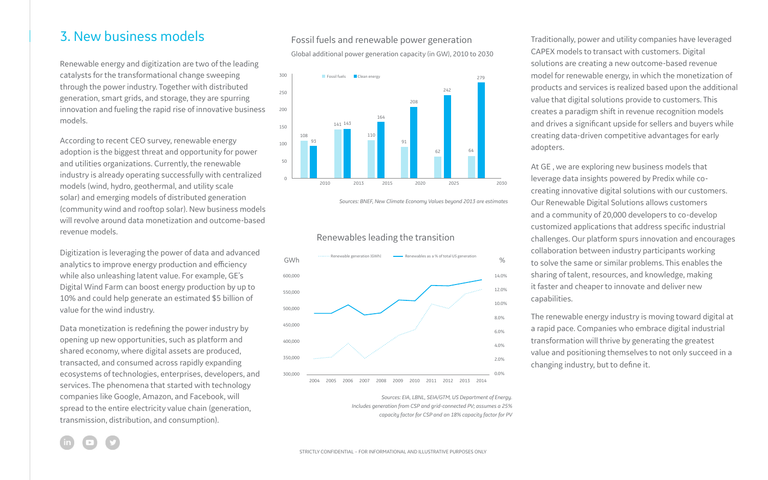# 3. New business models

Renewable energy and digitization are two of the leading catalysts for the transformational change sweeping through the power industry. Together with distributed generation, smart grids, and storage, they are spurring innovation and fueling the rapid rise of innovative business models.

According to recent CEO survey, renewable energy adoption is the biggest threat and opportunity for power and utilities organizations. Currently, the renewable industry is already operating successfully with centralized models (wind, hydro, geothermal, and utility scale solar) and emerging models of distributed generation (community wind and rooftop solar). New business models will revolve around data monetization and outcome-based revenue models.

Digitization is leveraging the power of data and advanced analytics to improve energy production and efficiency while also unleashing latent value. For example, GE's Digital Wind Farm can boost energy production by up to 10% and could help generate an estimated \$5 billion of value for the wind industry.

Data monetization is redefining the power industry by opening up new opportunities, such as platform and shared economy, where digital assets are produced, transacted, and consumed across rapidly expanding ecosystems of technologies, enterprises, developers, and services. The phenomena that started with technology companies like Google, Amazon, and Facebook, will spread to the entire electricity value chain (generation, transmission, distribution, and consumption).

Traditionally, power and utility companies have leveraged CAPEX models to transact with customers. Digital solutions are creating a new outcome-based revenue model for renewable energy, in which the monetization of products and services is realized based upon the additional value that digital solutions provide to customers. This creates a paradigm shift in revenue recognition models and drives a significant upside for sellers and buyers while creating data-driven competitive advantages for early adopters.

At GE , we are exploring new business models that leverage data insights powered by Predix while cocreating innovative digital solutions with our customers. Our Renewable Digital Solutions allows customers and a community of 20,000 developers to co-develop customized applications that address specific industrial challenges. Our platform spurs innovation and encourages collaboration between industry participants working to solve the same or similar problems. This enables the sharing of talent, resources, and knowledge, making it faster and cheaper to innovate and deliver new capabilities.

The renewable energy industry is moving toward digital at a rapid pace. Companies who embrace digital industrial transformation will thrive by generating the greatest value and positioning themselves to not only succeed in a changing industry, but to define it.

*Sources: BNEF, New Climate Economy Values beyond 2013 are estimates*

### Fossil fuels and renewable power generation

Global additional power generation capacity (in GW), 2010 to 2030



*Sources: EIA, LBNL, SEIA/GTM, US Department of Energy. Includes generation from CSP and grid-connected PV; assumes a 25% capacity factor for CSP and an 18% capacity factor for PV*



#### Renewables leading the transition

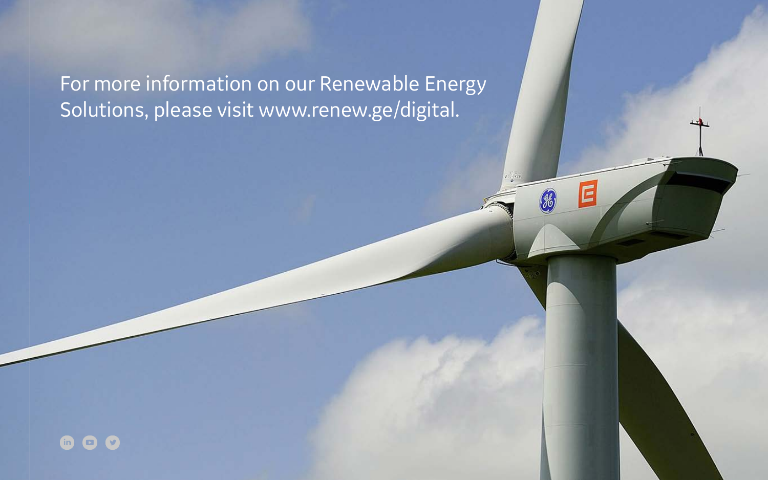# For more information on our Renewable Energy Solutions, please visit [www.renew.ge/digital.](https://www.ge.com/digital/industries/renewable-energy)